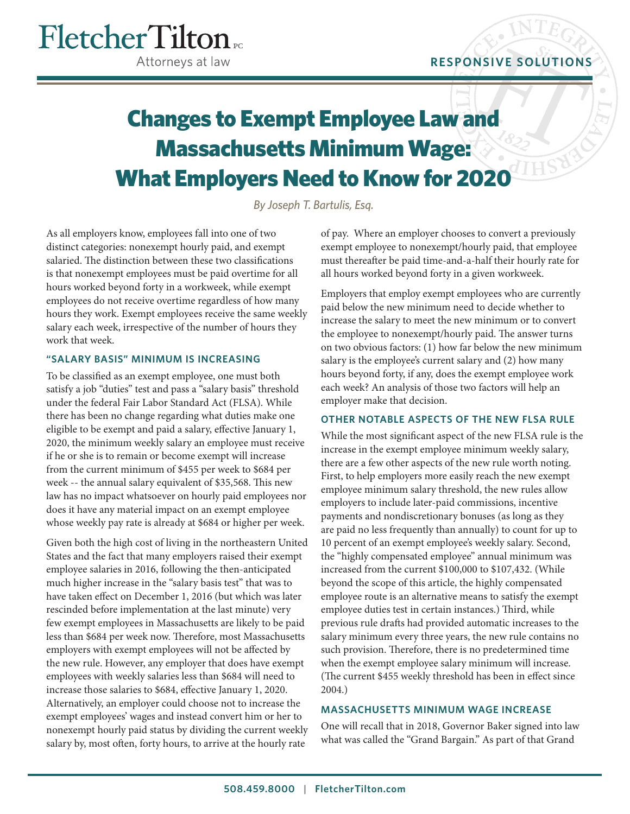# Fletcher Tilton Attorneys at law

# Changes to Exempt Employee Law and Massachusetts Minimum Wage: What Employers Need to Know for 2020

*By Joseph T. Bartulis, Esq.*

As all employers know, employees fall into one of two distinct categories: nonexempt hourly paid, and exempt salaried. The distinction between these two classifications is that nonexempt employees must be paid overtime for all hours worked beyond forty in a workweek, while exempt employees do not receive overtime regardless of how many hours they work. Exempt employees receive the same weekly salary each week, irrespective of the number of hours they work that week.

#### **"SALARY BASIS" MINIMUM IS INCREASING**

To be classified as an exempt employee, one must both satisfy a job "duties" test and pass a "salary basis" threshold under the federal Fair Labor Standard Act (FLSA). While there has been no change regarding what duties make one eligible to be exempt and paid a salary, effective January 1, 2020, the minimum weekly salary an employee must receive if he or she is to remain or become exempt will increase from the current minimum of \$455 per week to \$684 per week -- the annual salary equivalent of \$35,568. This new law has no impact whatsoever on hourly paid employees nor does it have any material impact on an exempt employee whose weekly pay rate is already at \$684 or higher per week.

Given both the high cost of living in the northeastern United States and the fact that many employers raised their exempt employee salaries in 2016, following the then-anticipated much higher increase in the "salary basis test" that was to have taken effect on December 1, 2016 (but which was later rescinded before implementation at the last minute) very few exempt employees in Massachusetts are likely to be paid less than \$684 per week now. Therefore, most Massachusetts employers with exempt employees will not be affected by the new rule. However, any employer that does have exempt employees with weekly salaries less than \$684 will need to increase those salaries to \$684, effective January 1, 2020. Alternatively, an employer could choose not to increase the exempt employees' wages and instead convert him or her to nonexempt hourly paid status by dividing the current weekly salary by, most often, forty hours, to arrive at the hourly rate

of pay. Where an employer chooses to convert a previously exempt employee to nonexempt/hourly paid, that employee must thereafter be paid time-and-a-half their hourly rate for all hours worked beyond forty in a given workweek.

Employers that employ exempt employees who are currently paid below the new minimum need to decide whether to increase the salary to meet the new minimum or to convert the employee to nonexempt/hourly paid. The answer turns on two obvious factors: (1) how far below the new minimum salary is the employee's current salary and (2) how many hours beyond forty, if any, does the exempt employee work each week? An analysis of those two factors will help an employer make that decision.

## **OTHER NOTABLE ASPECTS OF THE NEW FLSA RULE**

While the most significant aspect of the new FLSA rule is the increase in the exempt employee minimum weekly salary, there are a few other aspects of the new rule worth noting. First, to help employers more easily reach the new exempt employee minimum salary threshold, the new rules allow employers to include later-paid commissions, incentive payments and nondiscretionary bonuses (as long as they are paid no less frequently than annually) to count for up to 10 percent of an exempt employee's weekly salary. Second, the "highly compensated employee" annual minimum was increased from the current \$100,000 to \$107,432. (While beyond the scope of this article, the highly compensated employee route is an alternative means to satisfy the exempt employee duties test in certain instances.) Third, while previous rule drafts had provided automatic increases to the salary minimum every three years, the new rule contains no such provision. Therefore, there is no predetermined time when the exempt employee salary minimum will increase. (The current \$455 weekly threshold has been in effect since 2004.)

## **MASSACHUSETTS MINIMUM WAGE INCREASE**

One will recall that in 2018, Governor Baker signed into law what was called the "Grand Bargain." As part of that Grand